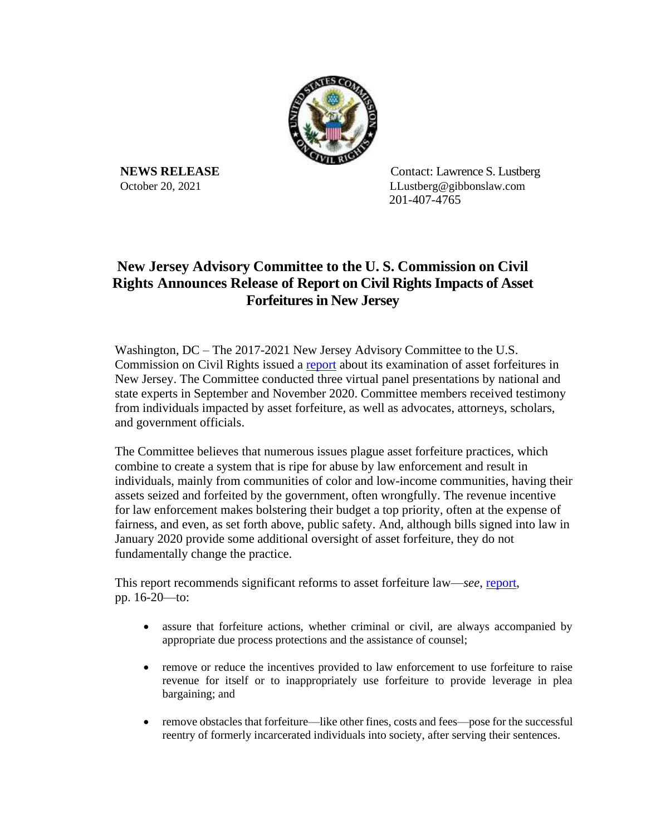

**NEWS RELEASE Contact: Lawrence S. Lustberg** October 20, 2021 LLustberg@gibbonslaw.com 201-407-4765

## **New Jersey Advisory Committee to the U. S. Commission on Civil Rights Announces Release of Report on Civil Rights Impacts of Asset Forfeitures in New Jersey**

Washington, DC – The 2017-2021 New Jersey Advisory Committee to the U.S. Commission on Civil Rights issued a [report](https://www.usccr.gov/files/2021-10/combined-nj-forfeiture-report.pdf) about its examination of asset forfeitures in New Jersey. The Committee conducted three virtual panel presentations by national and state experts in September and November 2020. Committee members received testimony from individuals impacted by asset forfeiture, as well as advocates, attorneys, scholars, and government officials.

The Committee believes that numerous issues plague asset forfeiture practices, which combine to create a system that is ripe for abuse by law enforcement and result in individuals, mainly from communities of color and low-income communities, having their assets seized and forfeited by the government, often wrongfully. The revenue incentive for law enforcement makes bolstering their budget a top priority, often at the expense of fairness, and even, as set forth above, public safety. And, although bills signed into law in January 2020 provide some additional oversight of asset forfeiture, they do not fundamentally change the practice.

This report recommends significant reforms to asset forfeiture law—*see*, [report,](https://www.usccr.gov/files/2021-10/combined-nj-forfeiture-report.pdf) pp. 16-20—to:

- assure that forfeiture actions, whether criminal or civil, are always accompanied by appropriate due process protections and the assistance of counsel;
- remove or reduce the incentives provided to law enforcement to use forfeiture to raise revenue for itself or to inappropriately use forfeiture to provide leverage in plea bargaining; and
- remove obstacles that for feiture—like other fines, costs and fees—pose for the successful reentry of formerly incarcerated individuals into society, after serving their sentences.